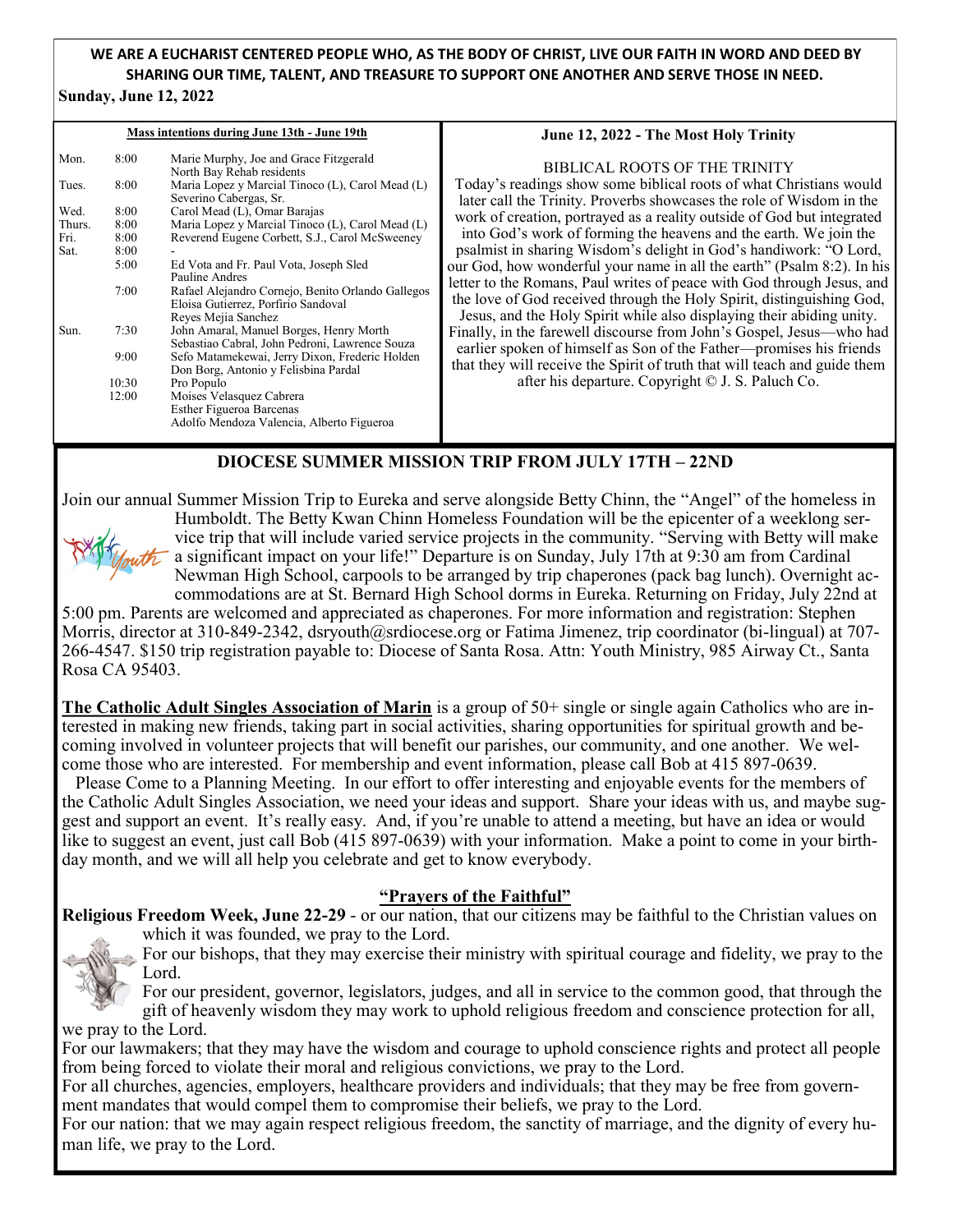# **WE ARE A EUCHARIST CENTERED PEOPLE WHO, AS THE BODY OF CHRIST, LIVE OUR FAITH IN WORD AND DEED BY SHARING OUR TIME, TALENT, AND TREASURE TO SUPPORT ONE ANOTHER AND SERVE THOSE IN NEED.**

#### **Sunday, June 12, 2022**

| Mass intentions during June 13th - June 19th |       |                                                                                                                 | June 12, 2022 - The Most Holy Trinity                                                                                                            |
|----------------------------------------------|-------|-----------------------------------------------------------------------------------------------------------------|--------------------------------------------------------------------------------------------------------------------------------------------------|
| Mon.                                         | 8:00  | Marie Murphy, Joe and Grace Fitzgerald<br>North Bay Rehab residents                                             | BIBLICAL ROOTS OF THE TRINITY                                                                                                                    |
| Tues.                                        | 8:00  | Maria Lopez y Marcial Tinoco (L), Carol Mead (L)<br>Severino Cabergas, Sr.                                      | Today's readings show some biblical roots of what Christians would<br>later call the Trinity. Proverbs showcases the role of Wisdom in the       |
| Wed.                                         | 8:00  | Carol Mead (L), Omar Barajas                                                                                    | work of creation, portrayed as a reality outside of God but integrated                                                                           |
| Thurs.                                       | 8:00  | Maria Lopez y Marcial Tinoco (L), Carol Mead (L)                                                                |                                                                                                                                                  |
| Fri.                                         | 8:00  | Reverend Eugene Corbett, S.J., Carol McSweeney                                                                  | into God's work of forming the heavens and the earth. We join the                                                                                |
| Sat.                                         | 8:00  |                                                                                                                 | psalmist in sharing Wisdom's delight in God's handiwork: "O Lord,                                                                                |
|                                              | 5:00  | Ed Vota and Fr. Paul Vota, Joseph Sled<br>Pauline Andres                                                        | our God, how wonderful your name in all the earth" (Psalm 8:2). In his<br>letter to the Romans, Paul writes of peace with God through Jesus, and |
|                                              | 7:00  | Rafael Alejandro Cornejo, Benito Orlando Gallegos<br>Eloisa Gutierrez, Porfirio Sandoval<br>Reyes Mejia Sanchez | the love of God received through the Holy Spirit, distinguishing God,<br>Jesus, and the Holy Spirit while also displaying their abiding unity.   |
| Sun.                                         | 7:30  | John Amaral, Manuel Borges, Henry Morth<br>Sebastiao Cabral, John Pedroni, Lawrence Souza                       | Finally, in the farewell discourse from John's Gospel, Jesus—who had                                                                             |
|                                              | 9:00  | Sefo Matamekewai, Jerry Dixon, Frederic Holden<br>Don Borg, Antonio y Felisbina Pardal                          | earlier spoken of himself as Son of the Father-promises his friends<br>that they will receive the Spirit of truth that will teach and guide them |
|                                              | 10:30 | Pro Populo                                                                                                      | after his departure. Copyright © J. S. Paluch Co.                                                                                                |
|                                              | 12:00 | Moises Velasquez Cabrera                                                                                        |                                                                                                                                                  |
|                                              |       | <b>Esther Figueroa Barcenas</b>                                                                                 |                                                                                                                                                  |
|                                              |       | Adolfo Mendoza Valencia, Alberto Figueroa                                                                       |                                                                                                                                                  |
|                                              |       |                                                                                                                 |                                                                                                                                                  |

## **DIOCESE SUMMER MISSION TRIP FROM JULY 17TH – 22ND**

Join our annual Summer Mission Trip to Eureka and serve alongside Betty Chinn, the "Angel" of the homeless in



Humboldt. The Betty Kwan Chinn Homeless Foundation will be the epicenter of a weeklong service trip that will include varied service projects in the community. "Serving with Betty will make a significant impact on your life!" Departure is on Sunday, July 17th at 9:30 am from Cardinal Newman High School, carpools to be arranged by trip chaperones (pack bag lunch). Overnight accommodations are at St. Bernard High School dorms in Eureka. Returning on Friday, July 22nd at

5:00 pm. Parents are welcomed and appreciated as chaperones. For more information and registration: Stephen Morris, director at 310-849-2342, dsryouth@srdiocese.org or Fatima Jimenez, trip coordinator (bi-lingual) at 707- 266-4547. \$150 trip registration payable to: Diocese of Santa Rosa. Attn: Youth Ministry, 985 Airway Ct., Santa Rosa CA 95403.

**The Catholic Adult Singles Association of Marin** is a group of 50+ single or single again Catholics who are interested in making new friends, taking part in social activities, sharing opportunities for spiritual growth and becoming involved in volunteer projects that will benefit our parishes, our community, and one another. We welcome those who are interested. For membership and event information, please call Bob at 415 897-0639.

 Please Come to a Planning Meeting. In our effort to offer interesting and enjoyable events for the members of the Catholic Adult Singles Association, we need your ideas and support. Share your ideas with us, and maybe suggest and support an event. It's really easy. And, if you're unable to attend a meeting, but have an idea or would like to suggest an event, just call Bob (415 897-0639) with your information. Make a point to come in your birthday month, and we will all help you celebrate and get to know everybody.

## **"Prayers of the Faithful"**

**Religious Freedom Week, June 22-29** - or our nation, that our citizens may be faithful to the Christian values on which it was founded, we pray to the Lord.



For our bishops, that they may exercise their ministry with spiritual courage and fidelity, we pray to the Lord.

For our president, governor, legislators, judges, and all in service to the common good, that through the gift of heavenly wisdom they may work to uphold religious freedom and conscience protection for all, we pray to the Lord.

For our lawmakers; that they may have the wisdom and courage to uphold conscience rights and protect all people from being forced to violate their moral and religious convictions, we pray to the Lord.

For all churches, agencies, employers, healthcare providers and individuals; that they may be free from government mandates that would compel them to compromise their beliefs, we pray to the Lord.

For our nation: that we may again respect religious freedom, the sanctity of marriage, and the dignity of every human life, we pray to the Lord.